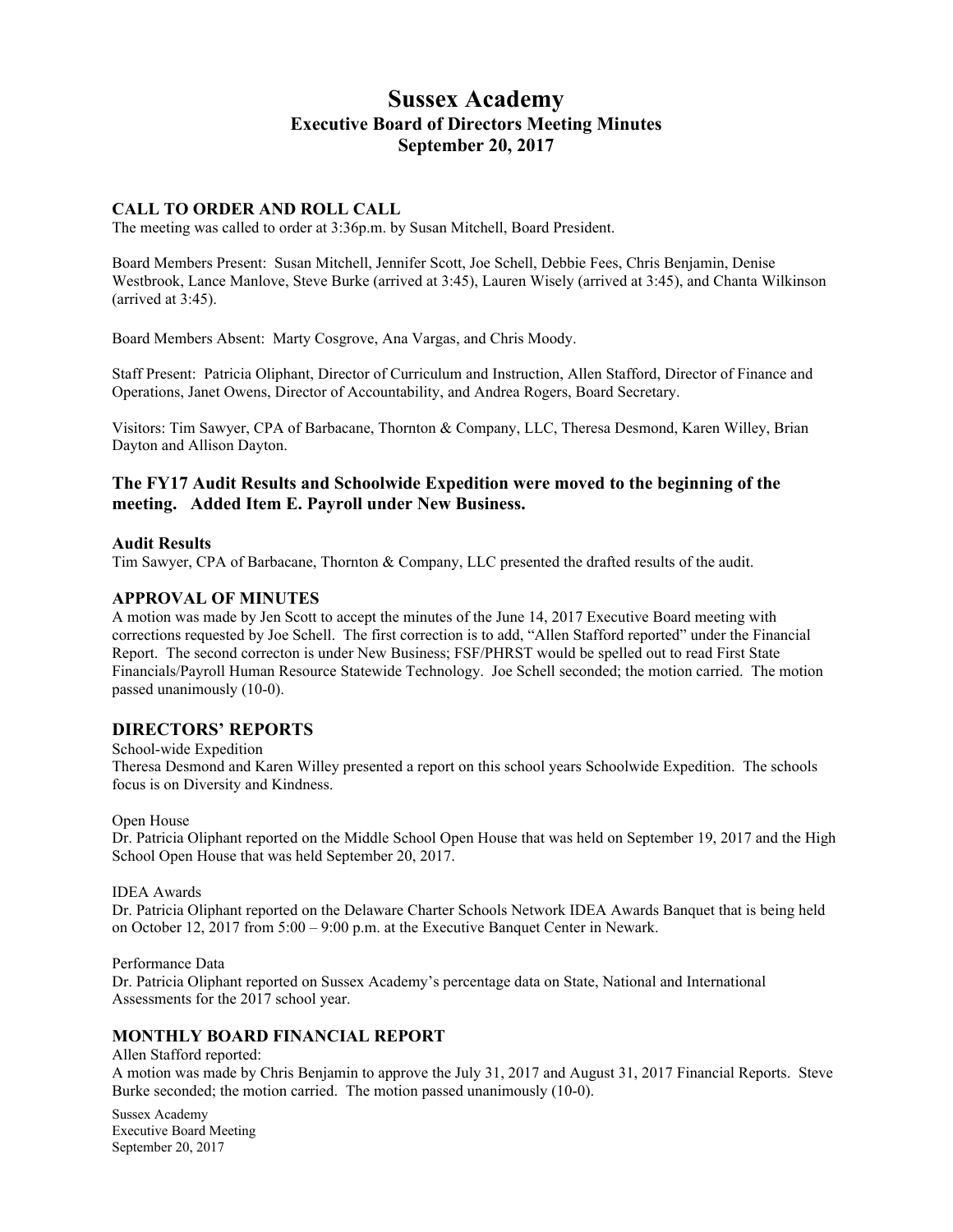# **Sussex Academy Executive Board of Directors Meeting Minutes September 20, 2017**

### **CALL TO ORDER AND ROLL CALL**

The meeting was called to order at 3:36p.m. by Susan Mitchell, Board President.

Board Members Present: Susan Mitchell, Jennifer Scott, Joe Schell, Debbie Fees, Chris Benjamin, Denise Westbrook, Lance Manlove, Steve Burke (arrived at 3:45), Lauren Wisely (arrived at 3:45), and Chanta Wilkinson (arrived at 3:45).

Board Members Absent: Marty Cosgrove, Ana Vargas, and Chris Moody.

Staff Present: Patricia Oliphant, Director of Curriculum and Instruction, Allen Stafford, Director of Finance and Operations, Janet Owens, Director of Accountability, and Andrea Rogers, Board Secretary.

Visitors: Tim Sawyer, CPA of Barbacane, Thornton & Company, LLC, Theresa Desmond, Karen Willey, Brian Dayton and Allison Dayton.

# **The FY17 Audit Results and Schoolwide Expedition were moved to the beginning of the meeting. Added Item E. Payroll under New Business.**

### **Audit Results**

Tim Sawyer, CPA of Barbacane, Thornton & Company, LLC presented the drafted results of the audit.

### **APPROVAL OF MINUTES**

A motion was made by Jen Scott to accept the minutes of the June 14, 2017 Executive Board meeting with corrections requested by Joe Schell. The first correction is to add, "Allen Stafford reported" under the Financial Report. The second correcton is under New Business; FSF/PHRST would be spelled out to read First State Financials/Payroll Human Resource Statewide Technology. Joe Schell seconded; the motion carried. The motion passed unanimously (10-0).

### **DIRECTORS' REPORTS**

School-wide Expedition Theresa Desmond and Karen Willey presented a report on this school years Schoolwide Expedition. The schools focus is on Diversity and Kindness.

#### Open House

Dr. Patricia Oliphant reported on the Middle School Open House that was held on September 19, 2017 and the High School Open House that was held September 20, 2017.

#### IDEA Awards

Dr. Patricia Oliphant reported on the Delaware Charter Schools Network IDEA Awards Banquet that is being held on October 12, 2017 from 5:00 – 9:00 p.m. at the Executive Banquet Center in Newark.

#### Performance Data

Dr. Patricia Oliphant reported on Sussex Academy's percentage data on State, National and International Assessments for the 2017 school year.

# **MONTHLY BOARD FINANCIAL REPORT**

Allen Stafford reported: A motion was made by Chris Benjamin to approve the July 31, 2017 and August 31, 2017 Financial Reports. Steve Burke seconded; the motion carried. The motion passed unanimously (10-0).

Sussex Academy Executive Board Meeting September 20, 2017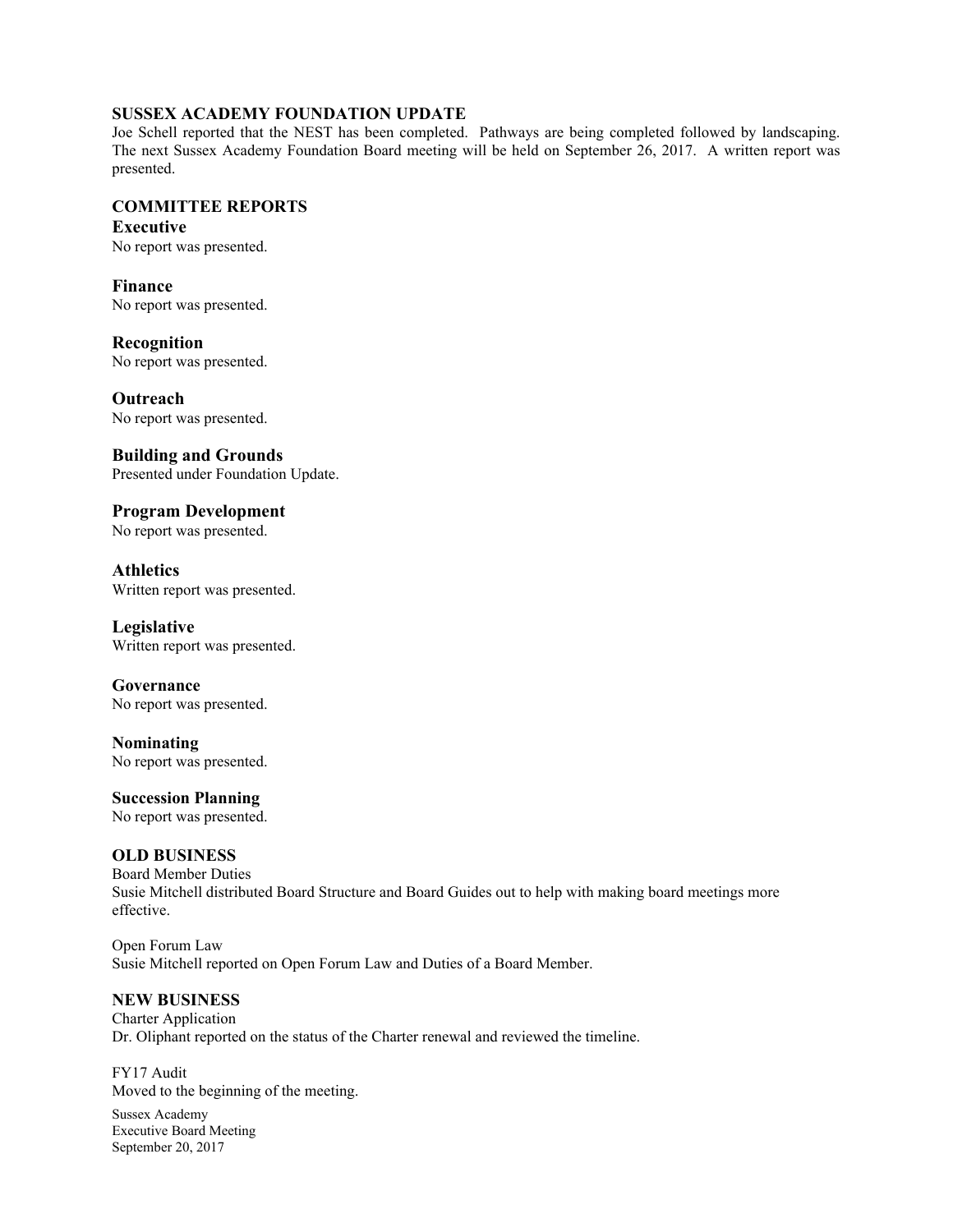## **SUSSEX ACADEMY FOUNDATION UPDATE**

Joe Schell reported that the NEST has been completed. Pathways are being completed followed by landscaping. The next Sussex Academy Foundation Board meeting will be held on September 26, 2017. A written report was presented.

# **COMMITTEE REPORTS**

**Executive** No report was presented.

**Finance** No report was presented.

**Recognition** No report was presented.

**Outreach** No report was presented.

**Building and Grounds** Presented under Foundation Update.

**Program Development** No report was presented.

**Athletics** Written report was presented.

**Legislative** Written report was presented.

**Governance** No report was presented.

**Nominating** No report was presented.

**Succession Planning** No report was presented.

# **OLD BUSINESS**

Board Member Duties Susie Mitchell distributed Board Structure and Board Guides out to help with making board meetings more effective.

Open Forum Law Susie Mitchell reported on Open Forum Law and Duties of a Board Member.

## **NEW BUSINESS**

Charter Application Dr. Oliphant reported on the status of the Charter renewal and reviewed the timeline.

FY17 Audit Moved to the beginning of the meeting.

Sussex Academy Executive Board Meeting September 20, 2017